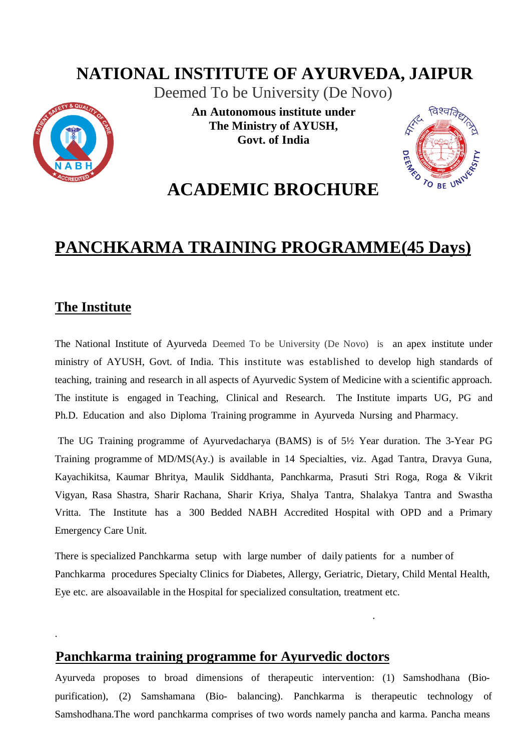## **NATIONAL INSTITUTE OF AYURVEDA, JAIPUR**

Deemed To be University (De Novo)



**An Autonomous institute under The Ministry of AYUSH, Govt. of India**



# **ACADEMIC BROCHURE**

# **PANCHKARMA TRAINING PROGRAMME(45 Days)**

### **The Institute**

.

The National Institute of Ayurveda Deemed To be University (De Novo) is an apex institute under ministry of AYUSH, Govt. of India. This institute was established to develop high standards of teaching, training and research in all aspects of Ayurvedic System of Medicine with a scientific approach. The institute is engaged in Teaching, Clinical and Research. The Institute imparts UG, PG and Ph.D. Education and also Diploma Training programme in Ayurveda Nursing and Pharmacy.

The UG Training programme of Ayurvedacharya (BAMS) is of 5½ Year duration. The 3-Year PG Training programme of MD/MS(Ay.) is available in 14 Specialties, viz. Agad Tantra, Dravya Guna, Kayachikitsa, Kaumar Bhritya, Maulik Siddhanta, Panchkarma, Prasuti Stri Roga, Roga & Vikrit Vigyan, Rasa Shastra, Sharir Rachana, Sharir Kriya, Shalya Tantra, Shalakya Tantra and Swastha Vritta. The Institute has a 300 Bedded NABH Accredited Hospital with OPD and a Primary Emergency Care Unit.

There is specialized Panchkarma setup with large number of daily patients for a number of Panchkarma procedures Specialty Clinics for Diabetes, Allergy, Geriatric, Dietary, Child Mental Health, Eye etc. are alsoavailable in the Hospital for specialized consultation, treatment etc.

### **Panchkarma training programme for Ayurvedic doctors**

.

Ayurveda proposes to broad dimensions of therapeutic intervention: (1) Samshodhana (Biopurification), (2) Samshamana (Bio- balancing). Panchkarma is therapeutic technology of Samshodhana.The word panchkarma comprises of two words namely pancha and karma. Pancha means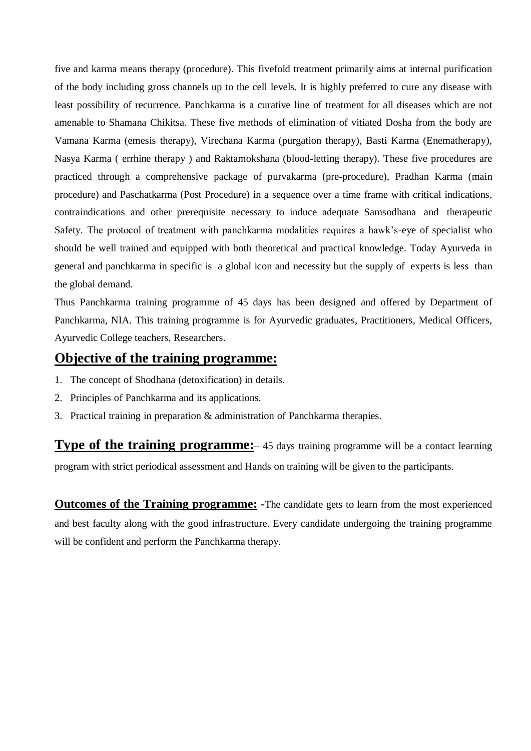five and karma means therapy (procedure). This fivefold treatment primarily aims at internal purification of the body including gross channels up to the cell levels. It is highly preferred to cure any disease with least possibility of recurrence. Panchkarma is a curative line of treatment for all diseases which are not amenable to Shamana Chikitsa. These five methods of elimination of vitiated Dosha from the body are Vamana Karma (emesis therapy), Virechana Karma (purgation therapy), Basti Karma (Enematherapy), Nasya Karma ( errhine therapy ) and Raktamokshana (blood-letting therapy). These five procedures are practiced through a comprehensive package of purvakarma (pre-procedure), Pradhan Karma (main procedure) and Paschatkarma (Post Procedure) in a sequence over a time frame with critical indications, contraindications and other prerequisite necessary to induce adequate Samsodhana and therapeutic Safety. The protocol of treatment with panchkarma modalities requires a hawk's-eye of specialist who should be well trained and equipped with both theoretical and practical knowledge. Today Ayurveda in general and panchkarma in specific is a global icon and necessity but the supply of experts is less than the global demand.

Thus Panchkarma training programme of 45 days has been designed and offered by Department of Panchkarma, NIA. This training programme is for Ayurvedic graduates, Practitioners, Medical Officers, Ayurvedic College teachers, Researchers.

### **Objective of the training programme:**

- 1. The concept of Shodhana (detoxification) in details.
- 2. Principles of Panchkarma and its applications.
- 3. Practical training in preparation & administration of Panchkarma therapies.

**Type of the training programme:** 45 days training programme will be a contact learning program with strict periodical assessment and Hands on training will be given to the participants.

**Outcomes of the Training programme: -**The candidate gets to learn from the most experienced and best faculty along with the good infrastructure. Every candidate undergoing the training programme will be confident and perform the Panchkarma therapy.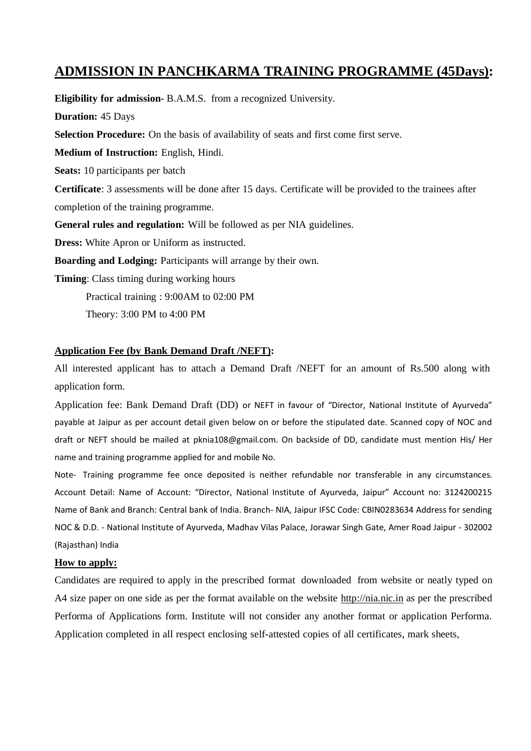### **ADMISSION IN PANCHKARMA TRAINING PROGRAMME (45Days):**

**Eligibility for admission**- B.A.M.S. from a recognized University. **Duration:** 45 Days **Selection Procedure:** On the basis of availability of seats and first come first serve. **Medium of Instruction:** English, Hindi. **Seats:** 10 participants per batch **Certificate**: 3 assessments will be done after 15 days. Certificate will be provided to the trainees after completion of the training programme. **General rules and regulation:** Will be followed as per NIA guidelines. **Dress:** White Apron or Uniform as instructed. **Boarding and Lodging:** Participants will arrange by their own. **Timing**: Class timing during working hours Practical training : 9:00AM to 02:00 PM

## **Application Fee (by Bank Demand Draft /NEFT):**

Theory: 3:00 PM to 4:00 PM

All interested applicant has to attach a Demand Draft /NEFT for an amount of Rs.500 along with application form.

Application fee: Bank Demand Draft (DD) or NEFT in favour of "Director, National Institute of Ayurveda" payable at Jaipur as per account detail given below on or before the stipulated date. Scanned copy of NOC and draft or NEFT should be mailed at [pknia108@gmail.com. O](mailto:pknia108@gmail.com)n backside of DD, candidate must mention His/ Her name and training programme applied for and mobile No.

Note- Training programme fee once deposited is neither refundable nor transferable in any circumstances. Account Detail: Name of Account: "Director, National Institute of Ayurveda, Jaipur" Account no: 3124200215 Name of Bank and Branch: Central bank of India. Branch- NIA, Jaipur IFSC Code: CBIN0283634 Address for sending NOC & D.D. - National Institute of Ayurveda, Madhav Vilas Palace, Jorawar Singh Gate, Amer Road Jaipur - 302002 (Rajasthan) India

#### **How to apply:**

Candidates are required to apply in the prescribed format downloaded from website or neatly typed on A4 size paper on one side as per the format available on the website [http://nia.nic.in](http://nia.nic.in/) as per the prescribed Performa of Applications form. Institute will not consider any another format or application Performa. Application completed in all respect enclosing self-attested copies of all certificates, mark sheets,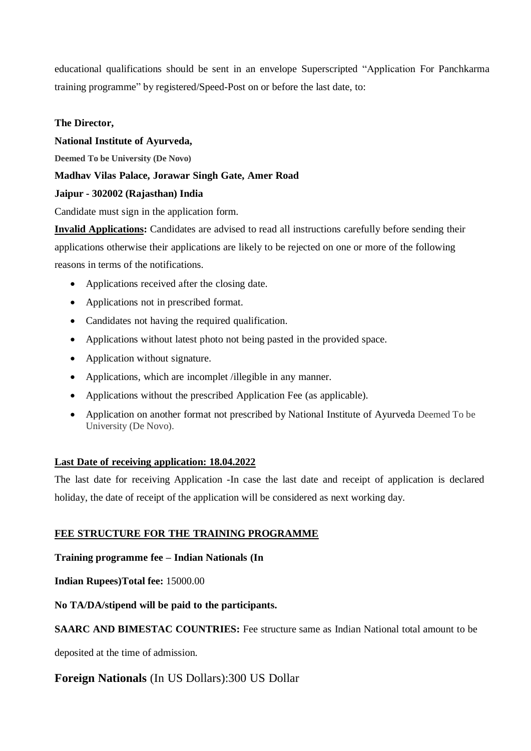educational qualifications should be sent in an envelope Superscripted "Application For Panchkarma training programme" by registered/Speed-Post on or before the last date, to:

#### **The Director,**

#### **National Institute of Ayurveda,**

**Deemed To be University (De Novo)**

#### **Madhav Vilas Palace, Jorawar Singh Gate, Amer Road**

#### **Jaipur - 302002 (Rajasthan) India**

Candidate must sign in the application form.

**Invalid Applications:** Candidates are advised to read all instructions carefully before sending their applications otherwise their applications are likely to be rejected on one or more of the following reasons in terms of the notifications.

- Applications received after the closing date.
- Applications not in prescribed format.
- Candidates not having the required qualification.
- Applications without latest photo not being pasted in the provided space.
- Application without signature.
- Applications, which are incomplet /illegible in any manner.
- Applications without the prescribed Application Fee (as applicable).
- Application on another format not prescribed by National Institute of Ayurveda Deemed To be University (De Novo).

#### **Last Date of receiving application: 18.04.2022**

The last date for receiving Application -In case the last date and receipt of application is declared holiday, the date of receipt of the application will be considered as next working day.

#### **FEE STRUCTURE FOR THE TRAINING PROGRAMME**

#### **Training programme fee – Indian Nationals (In**

**Indian Rupees)Total fee:** 15000.00

#### **No TA/DA/stipend will be paid to the participants.**

#### **SAARC AND BIMESTAC COUNTRIES:** Fee structure same as Indian National total amount to be

deposited at the time of admission.

### **Foreign Nationals** (In US Dollars):300 US Dollar